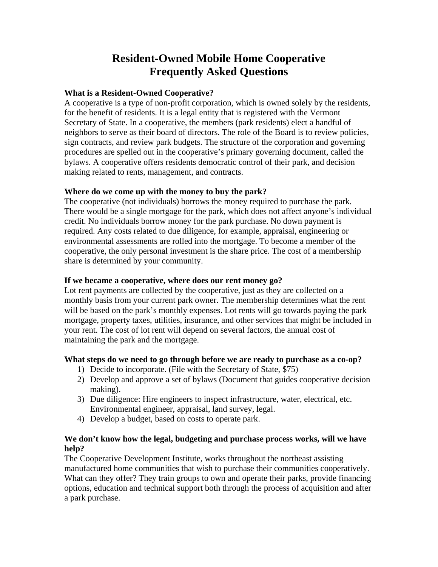# **Resident-Owned Mobile Home Cooperative Frequently Asked Questions**

# **What is a Resident-Owned Cooperative?**

A cooperative is a type of non-profit corporation, which is owned solely by the residents, for the benefit of residents. It is a legal entity that is registered with the Vermont Secretary of State. In a cooperative, the members (park residents) elect a handful of neighbors to serve as their board of directors. The role of the Board is to review policies, sign contracts, and review park budgets. The structure of the corporation and governing procedures are spelled out in the cooperative's primary governing document, called the bylaws. A cooperative offers residents democratic control of their park, and decision making related to rents, management, and contracts.

# **Where do we come up with the money to buy the park?**

The cooperative (not individuals) borrows the money required to purchase the park. There would be a single mortgage for the park, which does not affect anyone's individual credit. No individuals borrow money for the park purchase. No down payment is required. Any costs related to due diligence, for example, appraisal, engineering or environmental assessments are rolled into the mortgage. To become a member of the cooperative, the only personal investment is the share price. The cost of a membership share is determined by your community.

# **If we became a cooperative, where does our rent money go?**

Lot rent payments are collected by the cooperative, just as they are collected on a monthly basis from your current park owner. The membership determines what the rent will be based on the park's monthly expenses. Lot rents will go towards paying the park mortgage, property taxes, utilities, insurance, and other services that might be included in your rent. The cost of lot rent will depend on several factors, the annual cost of maintaining the park and the mortgage.

#### **What steps do we need to go through before we are ready to purchase as a co-op?**

- 1) Decide to incorporate. (File with the Secretary of State, \$75)
- 2) Develop and approve a set of bylaws (Document that guides cooperative decision making).
- 3) Due diligence: Hire engineers to inspect infrastructure, water, electrical, etc. Environmental engineer, appraisal, land survey, legal.
- 4) Develop a budget, based on costs to operate park.

# **We don't know how the legal, budgeting and purchase process works, will we have help?**

The Cooperative Development Institute, works throughout the northeast assisting manufactured home communities that wish to purchase their communities cooperatively. What can they offer? They train groups to own and operate their parks, provide financing options, education and technical support both through the process of acquisition and after a park purchase.